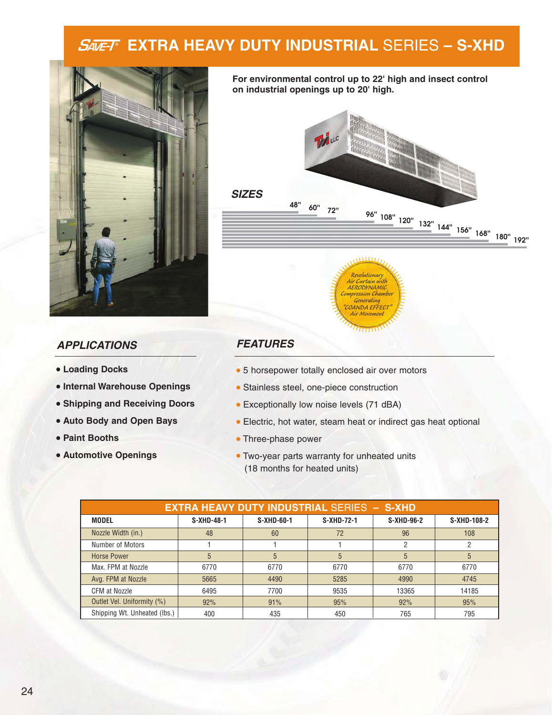## **EXTRA HEAVY DUTY INDUSTRIAL** SERIES **– S-XHD**



## **For environmental control up to 22' high and insect control on industrial openings up to 20' high.**



Generating COANDA EFFECT Air Movement

 $T_{\rm H}$ 

## **FEATURES**

- 5 horsepower totally enclosed air over motors
- Stainless steel, one-piece construction
- Exceptionally low noise levels (71 dBA)
- Electric, hot water, steam heat or indirect gas heat optional
- Three-phase power
- Two-year parts warranty for unheated units (18 months for heated units)

| <b>EXTRA HEAVY DUTY INDUSTRIAL SERIES - S-XHD</b> |                   |                   |                   |            |             |  |  |
|---------------------------------------------------|-------------------|-------------------|-------------------|------------|-------------|--|--|
| <b>MODEL</b>                                      | <b>S-XHD-48-1</b> | <b>S-XHD-60-1</b> | <b>S-XHD-72-1</b> | S-XHD-96-2 | S-XHD-108-2 |  |  |
| Nozzle Width (in.)                                | 48                | 60                | 72                | 96         | 108         |  |  |
| Number of Motors                                  |                   |                   |                   | 2          | 2           |  |  |
| <b>Horse Power</b>                                | 5                 | 5                 | 5                 | 5          | 5           |  |  |
| Max. FPM at Nozzle                                | 6770              | 6770              | 6770              | 6770       | 6770        |  |  |
| Avg. FPM at Nozzle                                | 5665              | 4490              | 5285              | 4990       | 4745        |  |  |
| <b>CFM at Nozzle</b>                              | 6495              | 7700              | 9535              | 13365      | 14185       |  |  |
| Outlet Vel. Uniformity (%)                        | 92%               | 91%               | 95%               | 92%        | 95%         |  |  |
| Shipping Wt. Unheated (lbs.)                      | 400               | 435               | 450               | 765        | 795         |  |  |

- **APPLICATIONS**
- **Loading Docks**
- **Internal Warehouse Openings**
- **Shipping and Receiving Doors**
- **Auto Body and Open Bays**
- **Paint Booths**
- **Automotive Openings**